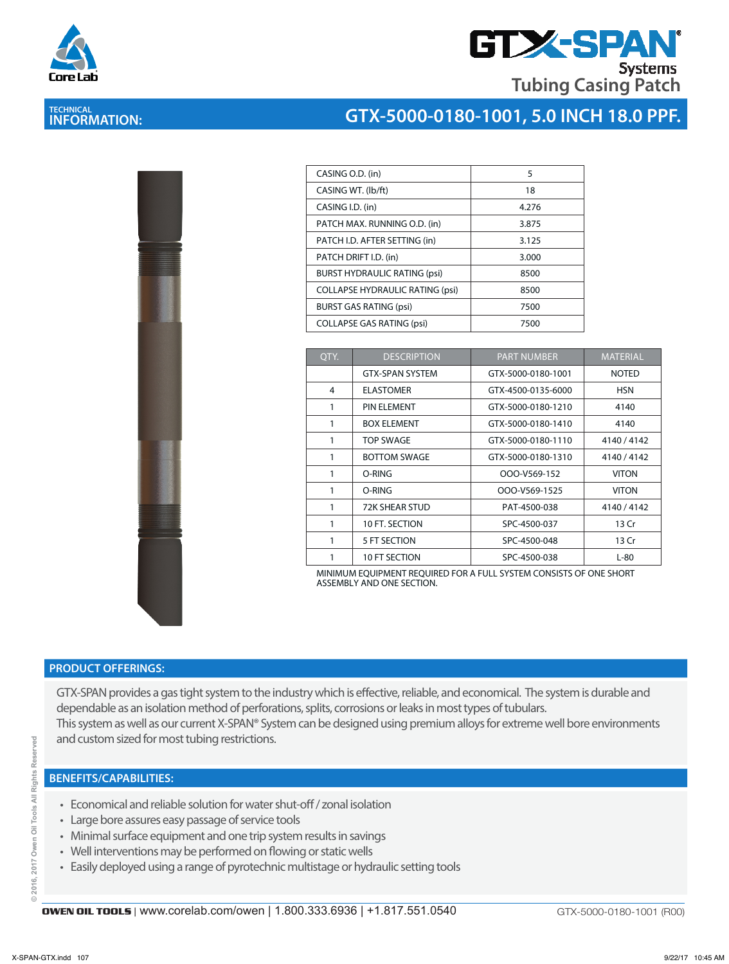

# **GTX-SPA Systems Tubing Casing Patch**

# **TECHNICAL INFORMATION:**

## **GTX-5000-0180-1001, 5.0 INCH 18.0 PPF.**

| i<br>S             |  |
|--------------------|--|
| I<br>ì             |  |
| l<br>i<br>s.<br>E. |  |
|                    |  |
|                    |  |
|                    |  |
|                    |  |

| CASING O.D. (in)                       | 5     |
|----------------------------------------|-------|
| CASING WT. (lb/ft)                     | 18    |
| CASING I.D. (in)                       | 4.276 |
| PATCH MAX. RUNNING O.D. (in)           | 3.875 |
| PATCH I.D. AFTER SETTING (in)          | 3.125 |
| PATCH DRIFT I.D. (in)                  | 3.000 |
| <b>BURST HYDRAULIC RATING (psi)</b>    | 8500  |
| <b>COLLAPSE HYDRAULIC RATING (psi)</b> | 8500  |
| <b>BURST GAS RATING (psi)</b>          | 7500  |
| <b>COLLAPSE GAS RATING (psi)</b>       | 7500  |

| QTY. | <b>DESCRIPTION</b>     | <b>PART NUMBER</b> | <b>MATERIAL</b> |
|------|------------------------|--------------------|-----------------|
|      | <b>GTX-SPAN SYSTEM</b> | GTX-5000-0180-1001 | <b>NOTED</b>    |
| 4    | <b>ELASTOMER</b>       | GTX-4500-0135-6000 | <b>HSN</b>      |
| 1    | <b>PIN ELEMENT</b>     | GTX-5000-0180-1210 | 4140            |
| 1    | <b>BOX FLEMENT</b>     | GTX-5000-0180-1410 | 4140            |
| 1    | <b>TOP SWAGE</b>       | GTX-5000-0180-1110 | 4140/4142       |
| 1    | <b>BOTTOM SWAGE</b>    | GTX-5000-0180-1310 | 4140 / 4142     |
| 1    | O-RING                 | OOO-V569-152       | <b>VITON</b>    |
| 1    | O-RING                 | OOO-V569-1525      | <b>VITON</b>    |
| 1    | <b>72K SHEAR STUD</b>  | PAT-4500-038       | 4140 / 4142     |
| 1    | 10 FT. SECTION         | SPC-4500-037       | 13 Cr           |
| 1    | 5 FT SECTION           | SPC-4500-048       | 13 Cr           |
| 1    | 10 FT SECTION          | SPC-4500-038       | $L-80$          |

MINIMUM EQUIPMENT REQUIRED FOR A FULL SYSTEM CONSISTS OF ONE SHORT ASSEMBLY AND ONE SECTION.

#### **PRODUCT OFFERINGS:**

GTX-SPAN provides a gas tight system to the industry which is effective, reliable, and economical. The system is durable and dependable as an isolation method of perforations, splits, corrosions or leaks in most types of tubulars. This system as well as our current X-SPAN® System can be designed using premium alloys for extreme well bore environments and custom sized for most tubing restrictions.

#### **BENEFITS/CAPABILITIES:**

- Economical and reliable solution for water shut-off / zonal isolation
- Large bore assures easy passage of service tools
- Minimal surface equipment and one trip system results in savings
- Well interventions may be performed on flowing or static wells
- Easily deployed using a range of pyrotechnic multistage or hydraulic setting tools

ă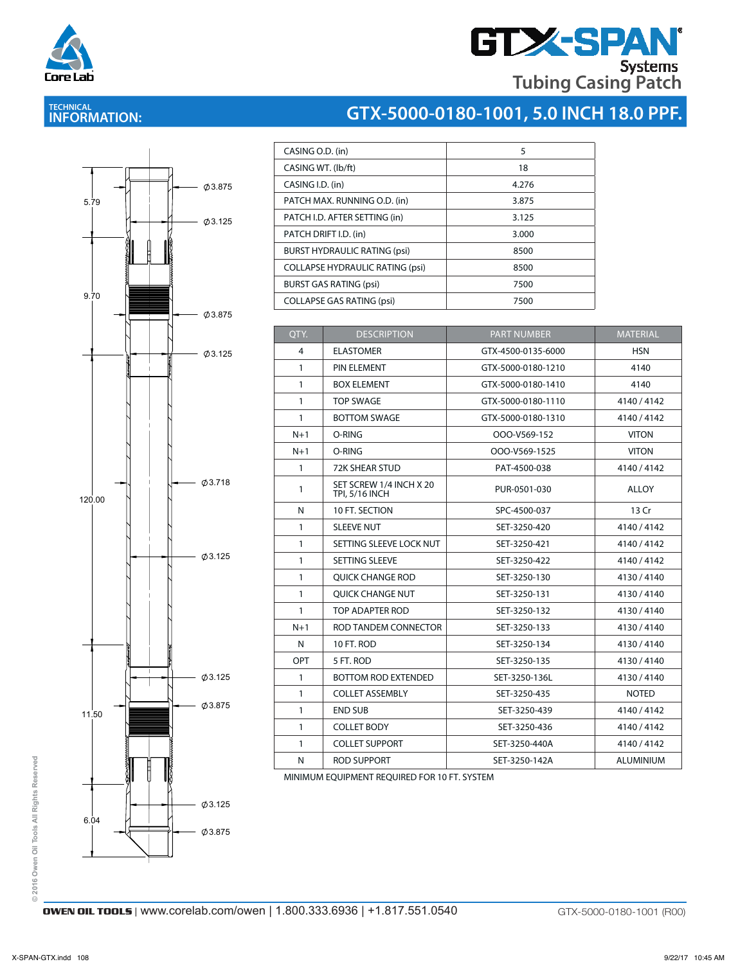

# **GTX-SPAN Tubing Casing Patch**

## **TECHNICAL INFORMATION:**





| CASING O.D. (in)                       | 5     |
|----------------------------------------|-------|
| CASING WT. (Ib/ft)                     | 18    |
| CASING I.D. (in)                       | 4.276 |
| PATCH MAX. RUNNING O.D. (in)           | 3.875 |
| PATCH I.D. AFTER SETTING (in)          | 3.125 |
| PATCH DRIFT I.D. (in)                  | 3.000 |
| <b>BURST HYDRAULIC RATING (psi)</b>    | 8500  |
| <b>COLLAPSE HYDRAULIC RATING (psi)</b> | 8500  |
| <b>BURST GAS RATING (psi)</b>          | 7500  |
| <b>COLLAPSE GAS RATING (psi)</b>       | 7500  |

| QTY.         | <b>DESCRIPTION</b>                               | <b>PART NUMBER</b> | <b>MATERIAL</b> |
|--------------|--------------------------------------------------|--------------------|-----------------|
| 4            | <b>ELASTOMER</b>                                 | GTX-4500-0135-6000 | <b>HSN</b>      |
| $\mathbf{1}$ | PIN ELEMENT                                      | GTX-5000-0180-1210 | 4140            |
| $\mathbf{1}$ | <b>BOX ELEMENT</b>                               | GTX-5000-0180-1410 | 4140            |
| $\mathbf{1}$ | <b>TOP SWAGE</b>                                 | GTX-5000-0180-1110 | 4140/4142       |
| $\mathbf{1}$ | <b>BOTTOM SWAGE</b>                              | GTX-5000-0180-1310 | 4140/4142       |
| $N+1$        | O-RING                                           | OOO-V569-152       | <b>VITON</b>    |
| $N+1$        | O-RING                                           | OOO-V569-1525      | <b>VITON</b>    |
| $\mathbf{1}$ | <b>72K SHEAR STUD</b>                            | PAT-4500-038       | 4140/4142       |
| 1            | SET SCREW 1/4 INCH X 20<br><b>TPI, 5/16 INCH</b> | PUR-0501-030       | <b>ALLOY</b>    |
| N            | 10 FT. SECTION                                   | SPC-4500-037       | 13 Cr           |
| $\mathbf{1}$ | <b>SLEEVE NUT</b>                                | SET-3250-420       | 4140/4142       |
| $\mathbf{1}$ | SETTING SLEEVE LOCK NUT                          | SET-3250-421       | 4140/4142       |
| $\mathbf{1}$ | <b>SETTING SLEEVE</b>                            | SET-3250-422       | 4140/4142       |
| $\mathbf{1}$ | <b>QUICK CHANGE ROD</b>                          | SET-3250-130       | 4130/4140       |
| 1            | <b>OUICK CHANGE NUT</b>                          | SET-3250-131       | 4130/4140       |
| $\mathbf{1}$ | TOP ADAPTER ROD                                  | SET-3250-132       | 4130/4140       |
| $N+1$        | ROD TANDEM CONNECTOR                             | SET-3250-133       | 4130/4140       |
| N            | 10 FT. ROD                                       | SET-3250-134       | 4130/4140       |
| <b>OPT</b>   | 5 FT. ROD                                        | SET-3250-135       | 4130/4140       |
| $\mathbf{1}$ | <b>BOTTOM ROD EXTENDED</b>                       | SET-3250-136L      | 4130/4140       |
| $\mathbf{1}$ | <b>COLLET ASSEMBLY</b>                           | SET-3250-435       | <b>NOTED</b>    |
| 1            | <b>END SUB</b>                                   | SET-3250-439       | 4140/4142       |
| $\mathbf{1}$ | <b>COLLET BODY</b>                               | SET-3250-436       | 4140/4142       |
| 1            | <b>COLLET SUPPORT</b>                            | SET-3250-440A      | 4140/4142       |
| N            | <b>ROD SUPPORT</b>                               | SET-3250-142A      | ALUMINIUM       |

MINIMUM EQUIPMENT REQUIRED FOR 10 FT. SYSTEM

© 2016 Owen Oil Tools All Rights Reserved **© 2016 Owen Oil Tools All Rights Reserved**